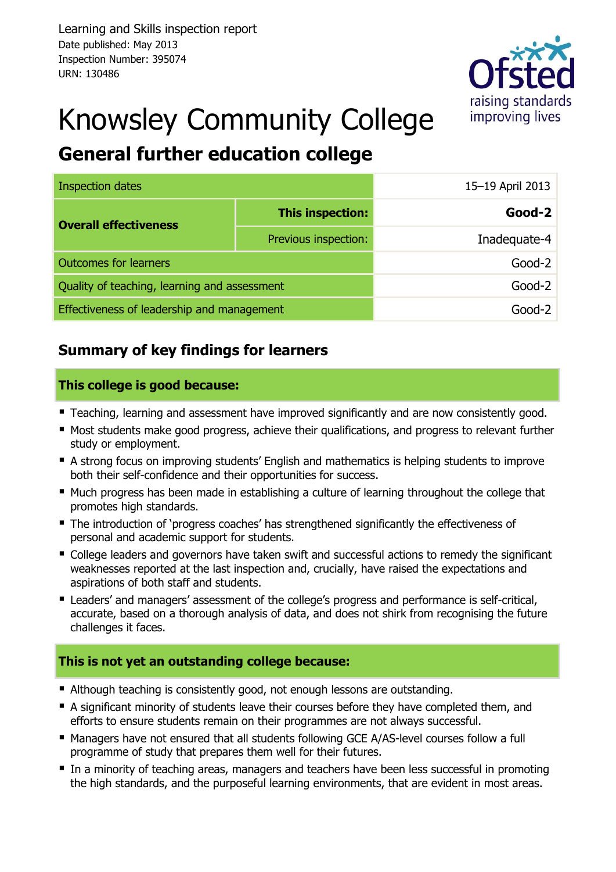

# Knowsley Community College

# **General further education college**

| Inspection dates                             |                      | 15-19 April 2013 |
|----------------------------------------------|----------------------|------------------|
| <b>Overall effectiveness</b>                 | This inspection:     | Good-2           |
|                                              | Previous inspection: | Inadequate-4     |
| <b>Outcomes for learners</b>                 |                      | $Good-2$         |
| Quality of teaching, learning and assessment |                      | $Good-2$         |
| Effectiveness of leadership and management   |                      | Good-2           |

### **Summary of key findings for learners**

#### **This college is good because:**

- **Teaching, learning and assessment have improved significantly and are now consistently good.**
- Most students make good progress, achieve their qualifications, and progress to relevant further study or employment.
- A strong focus on improving students' English and mathematics is helping students to improve both their self-confidence and their opportunities for success.
- **Much progress has been made in establishing a culture of learning throughout the college that** promotes high standards.
- The introduction of 'progress coaches' has strengthened significantly the effectiveness of personal and academic support for students.
- College leaders and governors have taken swift and successful actions to remedy the significant weaknesses reported at the last inspection and, crucially, have raised the expectations and aspirations of both staff and students.
- **E** Leaders' and managers' assessment of the college's progress and performance is self-critical, accurate, based on a thorough analysis of data, and does not shirk from recognising the future challenges it faces.

#### **This is not yet an outstanding college because:**

- Although teaching is consistently good, not enough lessons are outstanding.
- A significant minority of students leave their courses before they have completed them, and efforts to ensure students remain on their programmes are not always successful.
- Managers have not ensured that all students following GCE A/AS-level courses follow a full programme of study that prepares them well for their futures.
- In a minority of teaching areas, managers and teachers have been less successful in promoting the high standards, and the purposeful learning environments, that are evident in most areas.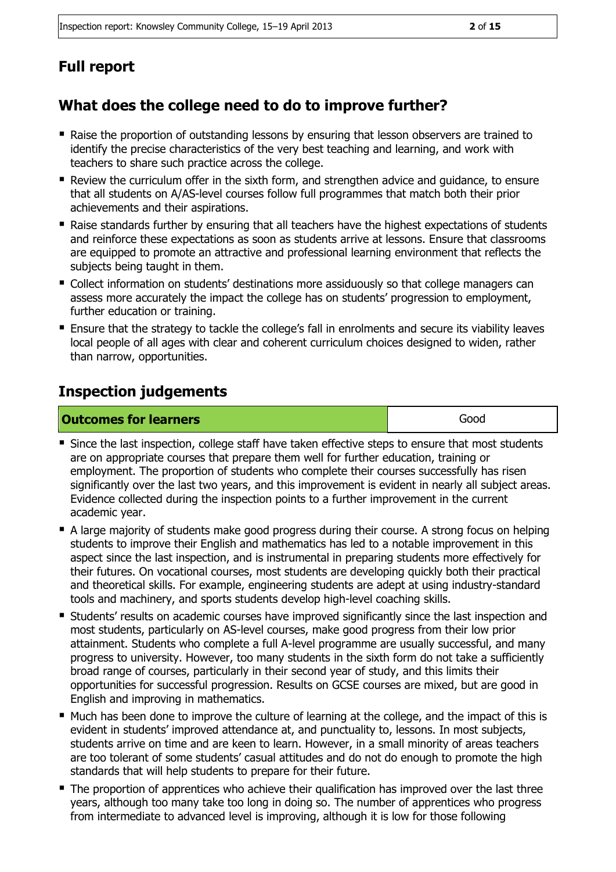# **Full report**

# **What does the college need to do to improve further?**

- Raise the proportion of outstanding lessons by ensuring that lesson observers are trained to identify the precise characteristics of the very best teaching and learning, and work with teachers to share such practice across the college.
- Review the curriculum offer in the sixth form, and strengthen advice and guidance, to ensure that all students on A/AS-level courses follow full programmes that match both their prior achievements and their aspirations.
- Raise standards further by ensuring that all teachers have the highest expectations of students and reinforce these expectations as soon as students arrive at lessons. Ensure that classrooms are equipped to promote an attractive and professional learning environment that reflects the subjects being taught in them.
- Collect information on students' destinations more assiduously so that college managers can assess more accurately the impact the college has on students' progression to employment, further education or training.
- **Ensure that the strategy to tackle the college's fall in enrolments and secure its viability leaves** local people of all ages with clear and coherent curriculum choices designed to widen, rather than narrow, opportunities.

### **Inspection judgements**

| <b>Outcomes for learners</b> | Good |
|------------------------------|------|
|------------------------------|------|

- Since the last inspection, college staff have taken effective steps to ensure that most students are on appropriate courses that prepare them well for further education, training or employment. The proportion of students who complete their courses successfully has risen significantly over the last two years, and this improvement is evident in nearly all subject areas. Evidence collected during the inspection points to a further improvement in the current academic year.
- A large majority of students make good progress during their course. A strong focus on helping students to improve their English and mathematics has led to a notable improvement in this aspect since the last inspection, and is instrumental in preparing students more effectively for their futures. On vocational courses, most students are developing quickly both their practical and theoretical skills. For example, engineering students are adept at using industry-standard tools and machinery, and sports students develop high-level coaching skills.
- Students' results on academic courses have improved significantly since the last inspection and most students, particularly on AS-level courses, make good progress from their low prior attainment. Students who complete a full A-level programme are usually successful, and many progress to university. However, too many students in the sixth form do not take a sufficiently broad range of courses, particularly in their second year of study, and this limits their opportunities for successful progression. Results on GCSE courses are mixed, but are good in English and improving in mathematics.
- Much has been done to improve the culture of learning at the college, and the impact of this is evident in students' improved attendance at, and punctuality to, lessons. In most subjects, students arrive on time and are keen to learn. However, in a small minority of areas teachers are too tolerant of some students' casual attitudes and do not do enough to promote the high standards that will help students to prepare for their future.
- The proportion of apprentices who achieve their qualification has improved over the last three years, although too many take too long in doing so. The number of apprentices who progress from intermediate to advanced level is improving, although it is low for those following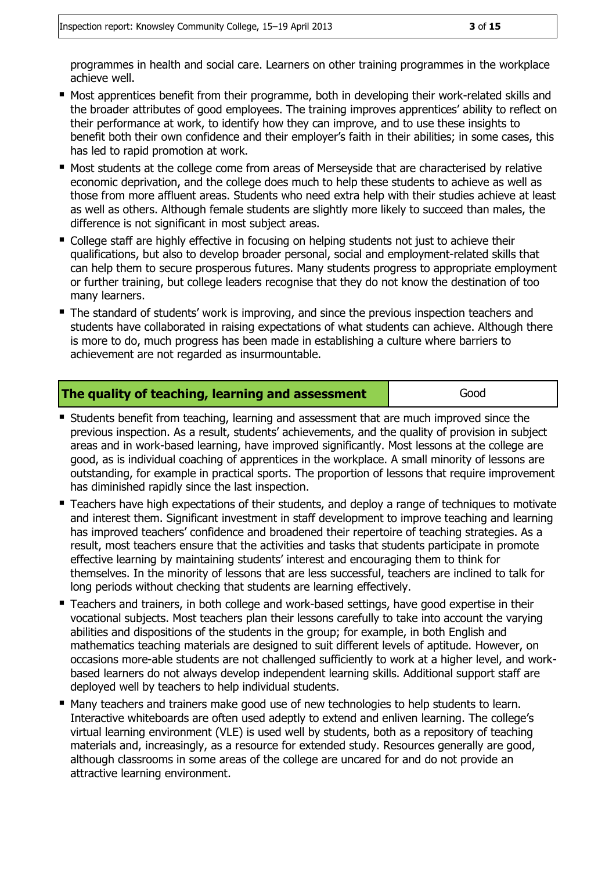programmes in health and social care. Learners on other training programmes in the workplace achieve well.

- Most apprentices benefit from their programme, both in developing their work-related skills and the broader attributes of good employees. The training improves apprentices' ability to reflect on their performance at work, to identify how they can improve, and to use these insights to benefit both their own confidence and their employer's faith in their abilities; in some cases, this has led to rapid promotion at work.
- **Most students at the college come from areas of Merseyside that are characterised by relative** economic deprivation, and the college does much to help these students to achieve as well as those from more affluent areas. Students who need extra help with their studies achieve at least as well as others. Although female students are slightly more likely to succeed than males, the difference is not significant in most subject areas.
- College staff are highly effective in focusing on helping students not just to achieve their qualifications, but also to develop broader personal, social and employment-related skills that can help them to secure prosperous futures. Many students progress to appropriate employment or further training, but college leaders recognise that they do not know the destination of too many learners.
- The standard of students' work is improving, and since the previous inspection teachers and students have collaborated in raising expectations of what students can achieve. Although there is more to do, much progress has been made in establishing a culture where barriers to achievement are not regarded as insurmountable.

#### **The quality of teaching, learning and assessment Figure 4** Good

- **Students benefit from teaching, learning and assessment that are much improved since the** previous inspection. As a result, students' achievements, and the quality of provision in subject areas and in work-based learning, have improved significantly. Most lessons at the college are good, as is individual coaching of apprentices in the workplace. A small minority of lessons are outstanding, for example in practical sports. The proportion of lessons that require improvement has diminished rapidly since the last inspection.
- Teachers have high expectations of their students, and deploy a range of techniques to motivate and interest them. Significant investment in staff development to improve teaching and learning has improved teachers' confidence and broadened their repertoire of teaching strategies. As a result, most teachers ensure that the activities and tasks that students participate in promote effective learning by maintaining students' interest and encouraging them to think for themselves. In the minority of lessons that are less successful, teachers are inclined to talk for long periods without checking that students are learning effectively.
- Teachers and trainers, in both college and work-based settings, have good expertise in their vocational subjects. Most teachers plan their lessons carefully to take into account the varying abilities and dispositions of the students in the group; for example, in both English and mathematics teaching materials are designed to suit different levels of aptitude. However, on occasions more-able students are not challenged sufficiently to work at a higher level, and workbased learners do not always develop independent learning skills. Additional support staff are deployed well by teachers to help individual students.
- Many teachers and trainers make good use of new technologies to help students to learn. Interactive whiteboards are often used adeptly to extend and enliven learning. The college's virtual learning environment (VLE) is used well by students, both as a repository of teaching materials and, increasingly, as a resource for extended study. Resources generally are good, although classrooms in some areas of the college are uncared for and do not provide an attractive learning environment.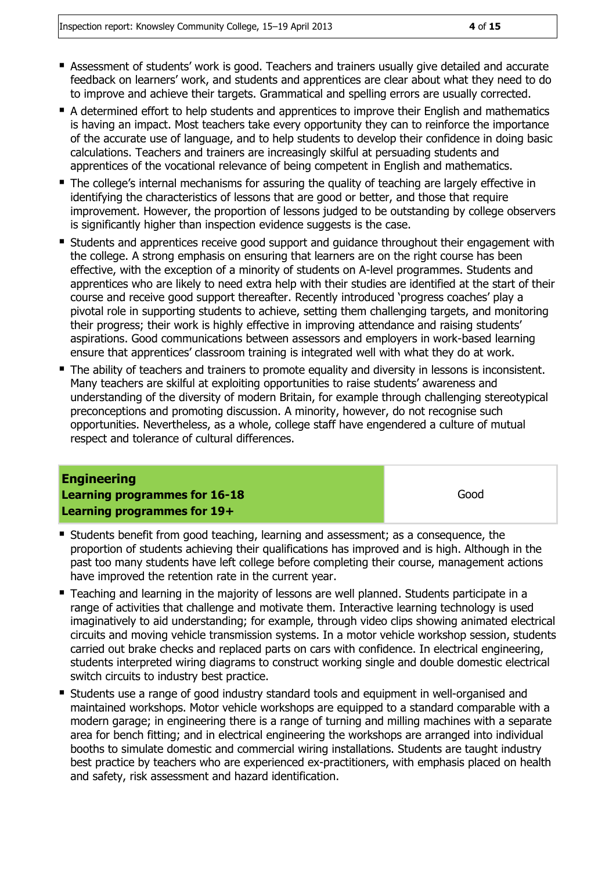- Assessment of students' work is good. Teachers and trainers usually give detailed and accurate feedback on learners' work, and students and apprentices are clear about what they need to do to improve and achieve their targets. Grammatical and spelling errors are usually corrected.
- A determined effort to help students and apprentices to improve their English and mathematics is having an impact. Most teachers take every opportunity they can to reinforce the importance of the accurate use of language, and to help students to develop their confidence in doing basic calculations. Teachers and trainers are increasingly skilful at persuading students and apprentices of the vocational relevance of being competent in English and mathematics.
- The college's internal mechanisms for assuring the quality of teaching are largely effective in identifying the characteristics of lessons that are good or better, and those that require improvement. However, the proportion of lessons judged to be outstanding by college observers is significantly higher than inspection evidence suggests is the case.
- **Students and apprentices receive good support and guidance throughout their engagement with** the college. A strong emphasis on ensuring that learners are on the right course has been effective, with the exception of a minority of students on A-level programmes. Students and apprentices who are likely to need extra help with their studies are identified at the start of their course and receive good support thereafter. Recently introduced 'progress coaches' play a pivotal role in supporting students to achieve, setting them challenging targets, and monitoring their progress; their work is highly effective in improving attendance and raising students' aspirations. Good communications between assessors and employers in work-based learning ensure that apprentices' classroom training is integrated well with what they do at work.
- The ability of teachers and trainers to promote equality and diversity in lessons is inconsistent. Many teachers are skilful at exploiting opportunities to raise students' awareness and understanding of the diversity of modern Britain, for example through challenging stereotypical preconceptions and promoting discussion. A minority, however, do not recognise such opportunities. Nevertheless, as a whole, college staff have engendered a culture of mutual respect and tolerance of cultural differences.

#### **Engineering Learning programmes for 16-18 Learning programmes for 19+**

- **Students benefit from good teaching, learning and assessment; as a consequence, the** proportion of students achieving their qualifications has improved and is high. Although in the past too many students have left college before completing their course, management actions have improved the retention rate in the current year.
- **Teaching and learning in the majority of lessons are well planned. Students participate in a** range of activities that challenge and motivate them. Interactive learning technology is used imaginatively to aid understanding; for example, through video clips showing animated electrical circuits and moving vehicle transmission systems. In a motor vehicle workshop session, students carried out brake checks and replaced parts on cars with confidence. In electrical engineering, students interpreted wiring diagrams to construct working single and double domestic electrical switch circuits to industry best practice.
- Students use a range of good industry standard tools and equipment in well-organised and maintained workshops. Motor vehicle workshops are equipped to a standard comparable with a modern garage; in engineering there is a range of turning and milling machines with a separate area for bench fitting; and in electrical engineering the workshops are arranged into individual booths to simulate domestic and commercial wiring installations. Students are taught industry best practice by teachers who are experienced ex-practitioners, with emphasis placed on health and safety, risk assessment and hazard identification.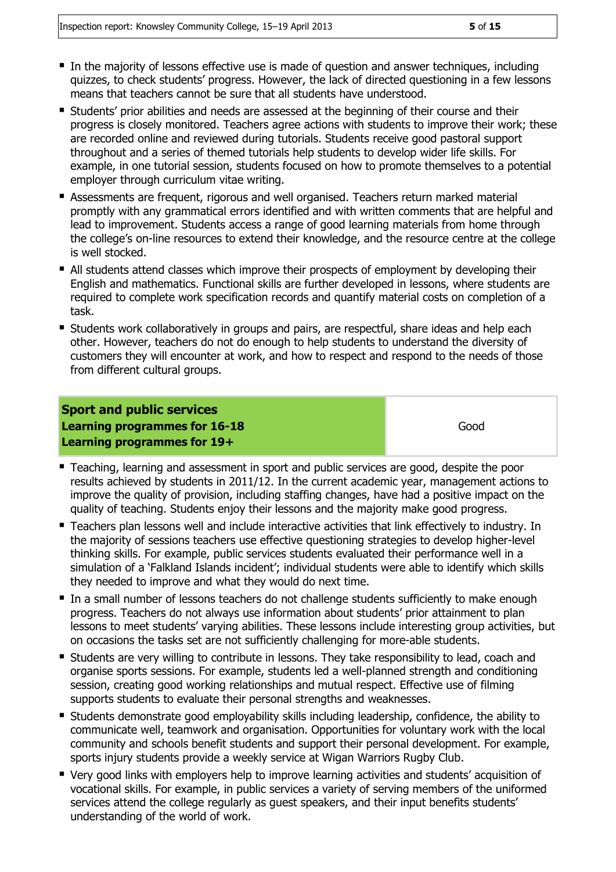- In the majority of lessons effective use is made of question and answer techniques, including quizzes, to check students' progress. However, the lack of directed questioning in a few lessons means that teachers cannot be sure that all students have understood.
- **Students' prior abilities and needs are assessed at the beginning of their course and their** progress is closely monitored. Teachers agree actions with students to improve their work; these are recorded online and reviewed during tutorials. Students receive good pastoral support throughout and a series of themed tutorials help students to develop wider life skills. For example, in one tutorial session, students focused on how to promote themselves to a potential employer through curriculum vitae writing.
- Assessments are frequent, rigorous and well organised. Teachers return marked material promptly with any grammatical errors identified and with written comments that are helpful and lead to improvement. Students access a range of good learning materials from home through the college's on-line resources to extend their knowledge, and the resource centre at the college is well stocked.
- All students attend classes which improve their prospects of employment by developing their English and mathematics. Functional skills are further developed in lessons, where students are required to complete work specification records and quantify material costs on completion of a task.
- Students work collaboratively in groups and pairs, are respectful, share ideas and help each other. However, teachers do not do enough to help students to understand the diversity of customers they will encounter at work, and how to respect and respond to the needs of those from different cultural groups.

#### **Sport and public services Learning programmes for 16-18 Learning programmes for 19+**

- Teaching, learning and assessment in sport and public services are good, despite the poor results achieved by students in 2011/12. In the current academic year, management actions to improve the quality of provision, including staffing changes, have had a positive impact on the quality of teaching. Students enjoy their lessons and the majority make good progress.
- **Teachers plan lessons well and include interactive activities that link effectively to industry. In** the majority of sessions teachers use effective questioning strategies to develop higher-level thinking skills. For example, public services students evaluated their performance well in a simulation of a 'Falkland Islands incident'; individual students were able to identify which skills they needed to improve and what they would do next time.
- In a small number of lessons teachers do not challenge students sufficiently to make enough progress. Teachers do not always use information about students' prior attainment to plan lessons to meet students' varying abilities. These lessons include interesting group activities, but on occasions the tasks set are not sufficiently challenging for more-able students.
- **E** Students are very willing to contribute in lessons. They take responsibility to lead, coach and organise sports sessions. For example, students led a well-planned strength and conditioning session, creating good working relationships and mutual respect. Effective use of filming supports students to evaluate their personal strengths and weaknesses.
- Students demonstrate good employability skills including leadership, confidence, the ability to communicate well, teamwork and organisation. Opportunities for voluntary work with the local community and schools benefit students and support their personal development. For example, sports injury students provide a weekly service at Wigan Warriors Rugby Club.
- Very good links with employers help to improve learning activities and students' acquisition of vocational skills. For example, in public services a variety of serving members of the uniformed services attend the college regularly as guest speakers, and their input benefits students' understanding of the world of work.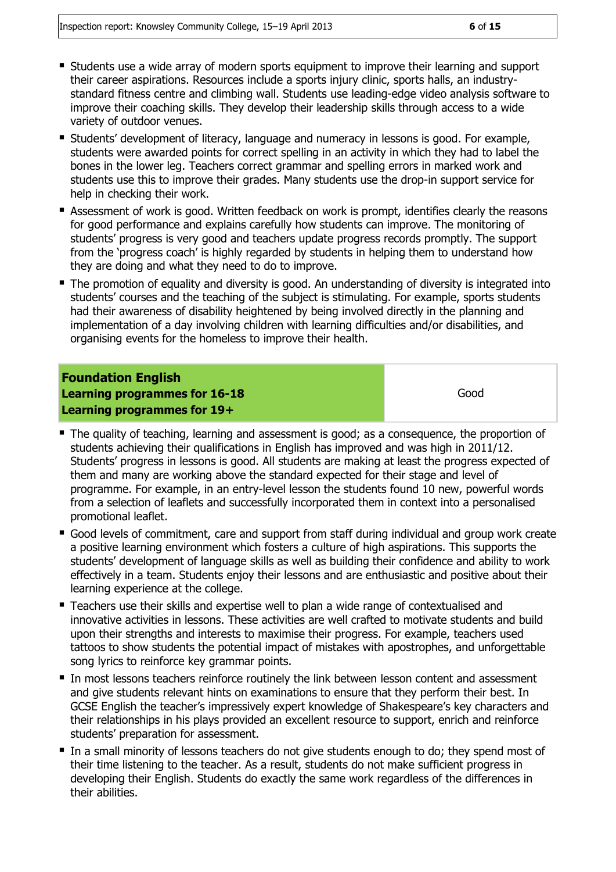- Students use a wide array of modern sports equipment to improve their learning and support their career aspirations. Resources include a sports injury clinic, sports halls, an industrystandard fitness centre and climbing wall. Students use leading-edge video analysis software to improve their coaching skills. They develop their leadership skills through access to a wide variety of outdoor venues.
- Students' development of literacy, language and numeracy in lessons is good. For example, students were awarded points for correct spelling in an activity in which they had to label the bones in the lower leg. Teachers correct grammar and spelling errors in marked work and students use this to improve their grades. Many students use the drop-in support service for help in checking their work.
- Assessment of work is good. Written feedback on work is prompt, identifies clearly the reasons for good performance and explains carefully how students can improve. The monitoring of students' progress is very good and teachers update progress records promptly. The support from the 'progress coach' is highly regarded by students in helping them to understand how they are doing and what they need to do to improve.
- The promotion of equality and diversity is good. An understanding of diversity is integrated into students' courses and the teaching of the subject is stimulating. For example, sports students had their awareness of disability heightened by being involved directly in the planning and implementation of a day involving children with learning difficulties and/or disabilities, and organising events for the homeless to improve their health.

#### **Foundation English Learning programmes for 16-18 Learning programmes for 19+**

- The quality of teaching, learning and assessment is good; as a consequence, the proportion of students achieving their qualifications in English has improved and was high in 2011/12. Students' progress in lessons is good. All students are making at least the progress expected of them and many are working above the standard expected for their stage and level of programme. For example, in an entry-level lesson the students found 10 new, powerful words from a selection of leaflets and successfully incorporated them in context into a personalised promotional leaflet.
- Good levels of commitment, care and support from staff during individual and group work create a positive learning environment which fosters a culture of high aspirations. This supports the students' development of language skills as well as building their confidence and ability to work effectively in a team. Students enjoy their lessons and are enthusiastic and positive about their learning experience at the college.
- Teachers use their skills and expertise well to plan a wide range of contextualised and innovative activities in lessons. These activities are well crafted to motivate students and build upon their strengths and interests to maximise their progress. For example, teachers used tattoos to show students the potential impact of mistakes with apostrophes, and unforgettable song lyrics to reinforce key grammar points.
- In most lessons teachers reinforce routinely the link between lesson content and assessment and give students relevant hints on examinations to ensure that they perform their best. In GCSE English the teacher's impressively expert knowledge of Shakespeare's key characters and their relationships in his plays provided an excellent resource to support, enrich and reinforce students' preparation for assessment.
- In a small minority of lessons teachers do not give students enough to do; they spend most of their time listening to the teacher. As a result, students do not make sufficient progress in developing their English. Students do exactly the same work regardless of the differences in their abilities.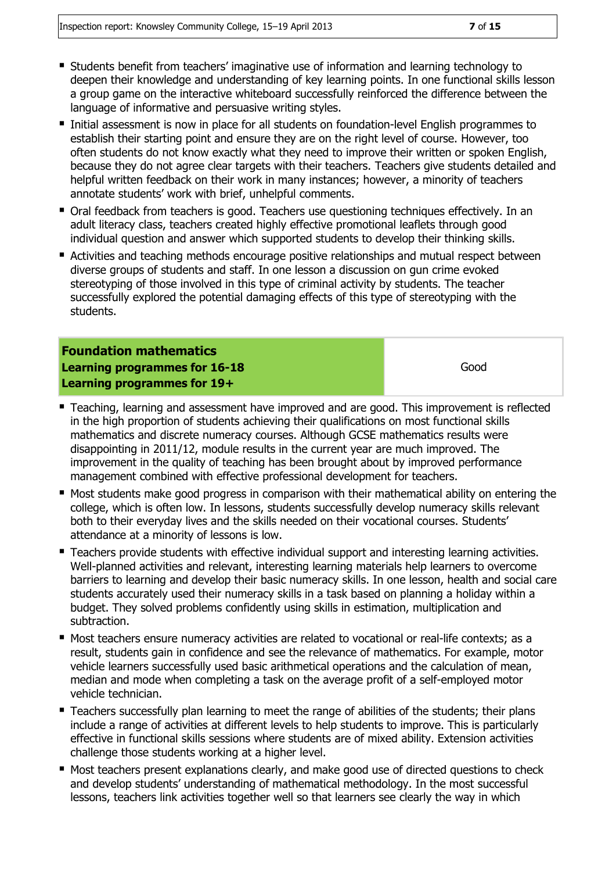- Students benefit from teachers' imaginative use of information and learning technology to deepen their knowledge and understanding of key learning points. In one functional skills lesson a group game on the interactive whiteboard successfully reinforced the difference between the language of informative and persuasive writing styles.
- Initial assessment is now in place for all students on foundation-level English programmes to establish their starting point and ensure they are on the right level of course. However, too often students do not know exactly what they need to improve their written or spoken English, because they do not agree clear targets with their teachers. Teachers give students detailed and helpful written feedback on their work in many instances; however, a minority of teachers annotate students' work with brief, unhelpful comments.
- Oral feedback from teachers is good. Teachers use questioning techniques effectively. In an adult literacy class, teachers created highly effective promotional leaflets through good individual question and answer which supported students to develop their thinking skills.
- Activities and teaching methods encourage positive relationships and mutual respect between diverse groups of students and staff. In one lesson a discussion on gun crime evoked stereotyping of those involved in this type of criminal activity by students. The teacher successfully explored the potential damaging effects of this type of stereotyping with the students.

**Foundation mathematics Learning programmes for 16-18 Learning programmes for 19+**

- Teaching, learning and assessment have improved and are good. This improvement is reflected in the high proportion of students achieving their qualifications on most functional skills mathematics and discrete numeracy courses. Although GCSE mathematics results were disappointing in 2011/12, module results in the current year are much improved. The improvement in the quality of teaching has been brought about by improved performance management combined with effective professional development for teachers.
- Most students make good progress in comparison with their mathematical ability on entering the college, which is often low. In lessons, students successfully develop numeracy skills relevant both to their everyday lives and the skills needed on their vocational courses. Students' attendance at a minority of lessons is low.
- Teachers provide students with effective individual support and interesting learning activities. Well-planned activities and relevant, interesting learning materials help learners to overcome barriers to learning and develop their basic numeracy skills. In one lesson, health and social care students accurately used their numeracy skills in a task based on planning a holiday within a budget. They solved problems confidently using skills in estimation, multiplication and subtraction.
- Most teachers ensure numeracy activities are related to vocational or real-life contexts; as a result, students gain in confidence and see the relevance of mathematics. For example, motor vehicle learners successfully used basic arithmetical operations and the calculation of mean, median and mode when completing a task on the average profit of a self-employed motor vehicle technician.
- **Teachers successfully plan learning to meet the range of abilities of the students; their plans** include a range of activities at different levels to help students to improve. This is particularly effective in functional skills sessions where students are of mixed ability. Extension activities challenge those students working at a higher level.
- **Most teachers present explanations clearly, and make good use of directed questions to check** and develop students' understanding of mathematical methodology. In the most successful lessons, teachers link activities together well so that learners see clearly the way in which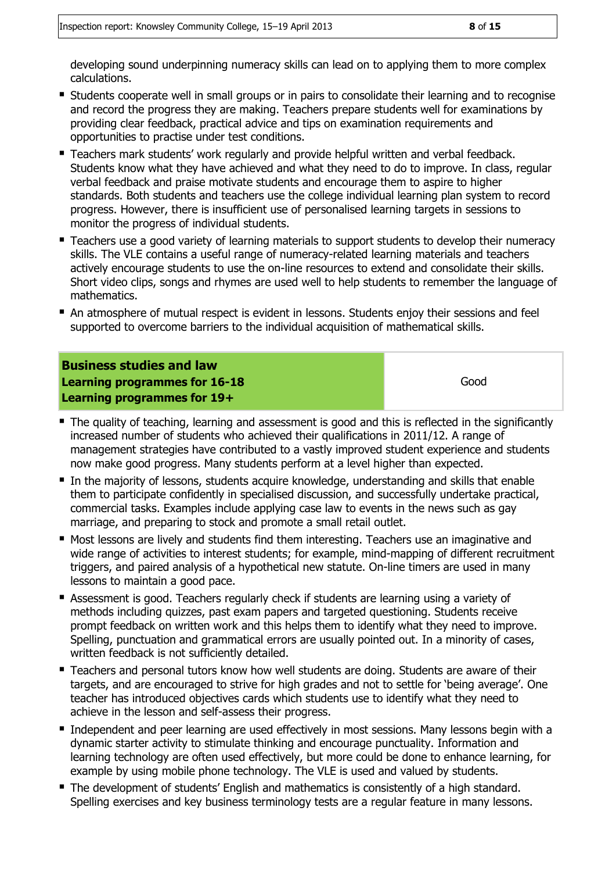developing sound underpinning numeracy skills can lead on to applying them to more complex calculations.

- **Students cooperate well in small groups or in pairs to consolidate their learning and to recognise** and record the progress they are making. Teachers prepare students well for examinations by providing clear feedback, practical advice and tips on examination requirements and opportunities to practise under test conditions.
- Teachers mark students' work regularly and provide helpful written and verbal feedback. Students know what they have achieved and what they need to do to improve. In class, regular verbal feedback and praise motivate students and encourage them to aspire to higher standards. Both students and teachers use the college individual learning plan system to record progress. However, there is insufficient use of personalised learning targets in sessions to monitor the progress of individual students.
- Teachers use a good variety of learning materials to support students to develop their numeracy skills. The VLE contains a useful range of numeracy-related learning materials and teachers actively encourage students to use the on-line resources to extend and consolidate their skills. Short video clips, songs and rhymes are used well to help students to remember the language of mathematics.
- An atmosphere of mutual respect is evident in lessons. Students enjoy their sessions and feel supported to overcome barriers to the individual acquisition of mathematical skills.

#### **Business studies and law Learning programmes for 16-18 Learning programmes for 19+** Good

- The quality of teaching, learning and assessment is good and this is reflected in the significantly increased number of students who achieved their qualifications in 2011/12. A range of management strategies have contributed to a vastly improved student experience and students now make good progress. Many students perform at a level higher than expected.
- In the majority of lessons, students acquire knowledge, understanding and skills that enable them to participate confidently in specialised discussion, and successfully undertake practical, commercial tasks. Examples include applying case law to events in the news such as gay marriage, and preparing to stock and promote a small retail outlet.
- Most lessons are lively and students find them interesting. Teachers use an imaginative and wide range of activities to interest students; for example, mind-mapping of different recruitment triggers, and paired analysis of a hypothetical new statute. On-line timers are used in many lessons to maintain a good pace.
- Assessment is good. Teachers regularly check if students are learning using a variety of methods including quizzes, past exam papers and targeted questioning. Students receive prompt feedback on written work and this helps them to identify what they need to improve. Spelling, punctuation and grammatical errors are usually pointed out. In a minority of cases, written feedback is not sufficiently detailed.
- Teachers and personal tutors know how well students are doing. Students are aware of their targets, and are encouraged to strive for high grades and not to settle for 'being average'. One teacher has introduced objectives cards which students use to identify what they need to achieve in the lesson and self-assess their progress.
- **Independent and peer learning are used effectively in most sessions. Many lessons begin with a** dynamic starter activity to stimulate thinking and encourage punctuality. Information and learning technology are often used effectively, but more could be done to enhance learning, for example by using mobile phone technology. The VLE is used and valued by students.
- The development of students' English and mathematics is consistently of a high standard. Spelling exercises and key business terminology tests are a regular feature in many lessons.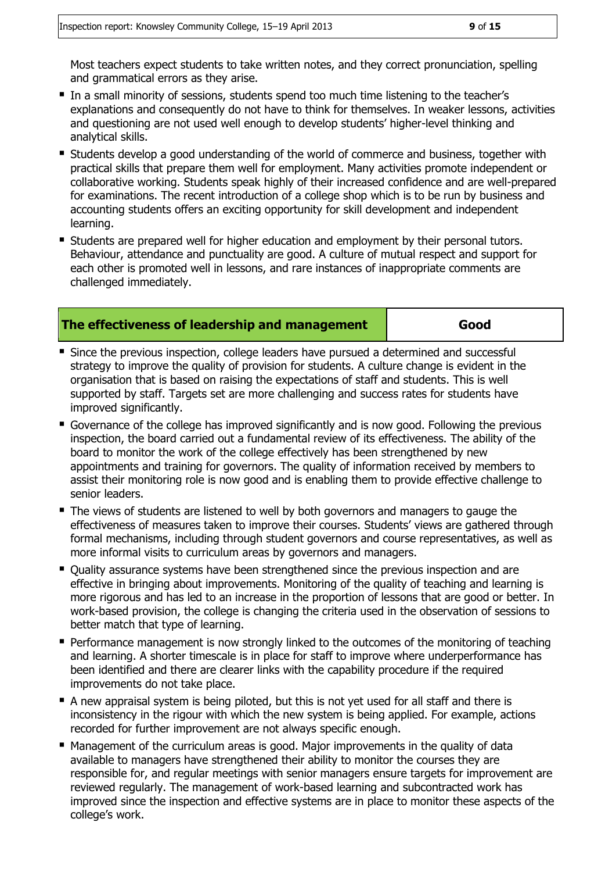- In a small minority of sessions, students spend too much time listening to the teacher's explanations and consequently do not have to think for themselves. In weaker lessons, activities and questioning are not used well enough to develop students' higher-level thinking and analytical skills.
- Students develop a good understanding of the world of commerce and business, together with practical skills that prepare them well for employment. Many activities promote independent or collaborative working. Students speak highly of their increased confidence and are well-prepared for examinations. The recent introduction of a college shop which is to be run by business and accounting students offers an exciting opportunity for skill development and independent learning.
- Students are prepared well for higher education and employment by their personal tutors. Behaviour, attendance and punctuality are good. A culture of mutual respect and support for each other is promoted well in lessons, and rare instances of inappropriate comments are challenged immediately.

#### **The effectiveness of leadership and management Good**

- **Since the previous inspection, college leaders have pursued a determined and successful** strategy to improve the quality of provision for students. A culture change is evident in the organisation that is based on raising the expectations of staff and students. This is well supported by staff. Targets set are more challenging and success rates for students have improved significantly.
- Governance of the college has improved significantly and is now good. Following the previous inspection, the board carried out a fundamental review of its effectiveness. The ability of the board to monitor the work of the college effectively has been strengthened by new appointments and training for governors. The quality of information received by members to assist their monitoring role is now good and is enabling them to provide effective challenge to senior leaders.
- The views of students are listened to well by both governors and managers to gauge the effectiveness of measures taken to improve their courses. Students' views are gathered through formal mechanisms, including through student governors and course representatives, as well as more informal visits to curriculum areas by governors and managers.
- **Duality assurance systems have been strengthened since the previous inspection and are** effective in bringing about improvements. Monitoring of the quality of teaching and learning is more rigorous and has led to an increase in the proportion of lessons that are good or better. In work-based provision, the college is changing the criteria used in the observation of sessions to better match that type of learning.
- **Performance management is now strongly linked to the outcomes of the monitoring of teaching** and learning. A shorter timescale is in place for staff to improve where underperformance has been identified and there are clearer links with the capability procedure if the required improvements do not take place.
- A new appraisal system is being piloted, but this is not yet used for all staff and there is inconsistency in the rigour with which the new system is being applied. For example, actions recorded for further improvement are not always specific enough.
- Management of the curriculum areas is good. Major improvements in the quality of data available to managers have strengthened their ability to monitor the courses they are responsible for, and regular meetings with senior managers ensure targets for improvement are reviewed regularly. The management of work-based learning and subcontracted work has improved since the inspection and effective systems are in place to monitor these aspects of the college's work.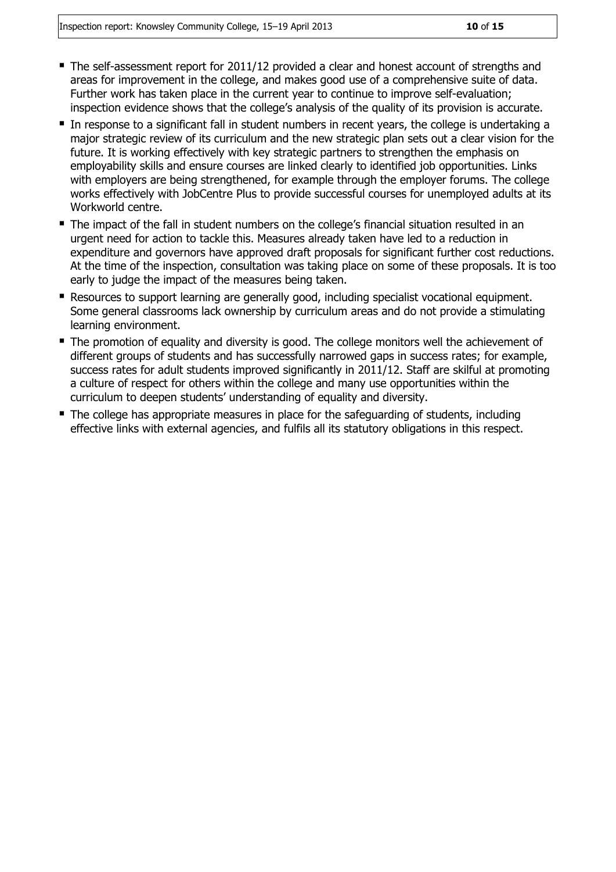- $\blacksquare$  The self-assessment report for 2011/12 provided a clear and honest account of strengths and areas for improvement in the college, and makes good use of a comprehensive suite of data. Further work has taken place in the current year to continue to improve self-evaluation; inspection evidence shows that the college's analysis of the quality of its provision is accurate.
- In response to a significant fall in student numbers in recent years, the college is undertaking a major strategic review of its curriculum and the new strategic plan sets out a clear vision for the future. It is working effectively with key strategic partners to strengthen the emphasis on employability skills and ensure courses are linked clearly to identified job opportunities. Links with employers are being strengthened, for example through the employer forums. The college works effectively with JobCentre Plus to provide successful courses for unemployed adults at its Workworld centre.
- The impact of the fall in student numbers on the college's financial situation resulted in an urgent need for action to tackle this. Measures already taken have led to a reduction in expenditure and governors have approved draft proposals for significant further cost reductions. At the time of the inspection, consultation was taking place on some of these proposals. It is too early to judge the impact of the measures being taken.
- Resources to support learning are generally good, including specialist vocational equipment. Some general classrooms lack ownership by curriculum areas and do not provide a stimulating learning environment.
- The promotion of equality and diversity is good. The college monitors well the achievement of different groups of students and has successfully narrowed gaps in success rates; for example, success rates for adult students improved significantly in 2011/12. Staff are skilful at promoting a culture of respect for others within the college and many use opportunities within the curriculum to deepen students' understanding of equality and diversity.
- The college has appropriate measures in place for the safeguarding of students, including effective links with external agencies, and fulfils all its statutory obligations in this respect.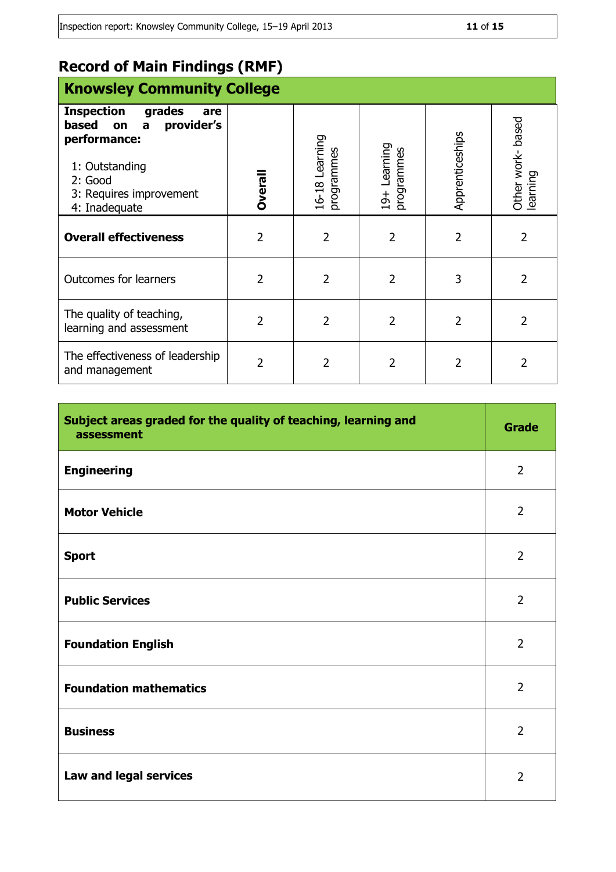# **Record of Main Findings (RMF)**

| <b>Knowsley Community College</b>                                                                                                                             |                |                              |                                    |                 |                             |
|---------------------------------------------------------------------------------------------------------------------------------------------------------------|----------------|------------------------------|------------------------------------|-----------------|-----------------------------|
| <b>Inspection</b><br>grades<br>are<br>based<br>provider's<br>on<br>a<br>performance:<br>1: Outstanding<br>2: Good<br>3: Requires improvement<br>4: Inadequate | <b>Overall</b> | 16-18 Learning<br>programmes | Learning<br>programmes<br>$19 + 1$ | Apprenticeships | Other work-based<br>earning |
| <b>Overall effectiveness</b>                                                                                                                                  | $\overline{2}$ | 2                            | 2                                  | 2               | 2                           |
| <b>Outcomes for learners</b>                                                                                                                                  | 2              | 2                            | $\overline{2}$                     | 3               | 2                           |
| The quality of teaching,<br>learning and assessment                                                                                                           | $\overline{2}$ | 2                            | 2                                  | $\overline{2}$  | 2                           |
| The effectiveness of leadership<br>and management                                                                                                             | 2              | 2                            | 2                                  | 2               |                             |

| Subject areas graded for the quality of teaching, learning and<br>assessment | <b>Grade</b>   |
|------------------------------------------------------------------------------|----------------|
| <b>Engineering</b>                                                           | $\overline{2}$ |
| <b>Motor Vehicle</b>                                                         | $\overline{2}$ |
| <b>Sport</b>                                                                 | $\overline{2}$ |
| <b>Public Services</b>                                                       | $\overline{2}$ |
| <b>Foundation English</b>                                                    | $\overline{2}$ |
| <b>Foundation mathematics</b>                                                | $\overline{2}$ |
| <b>Business</b>                                                              | $\overline{2}$ |
| Law and legal services                                                       | $\overline{2}$ |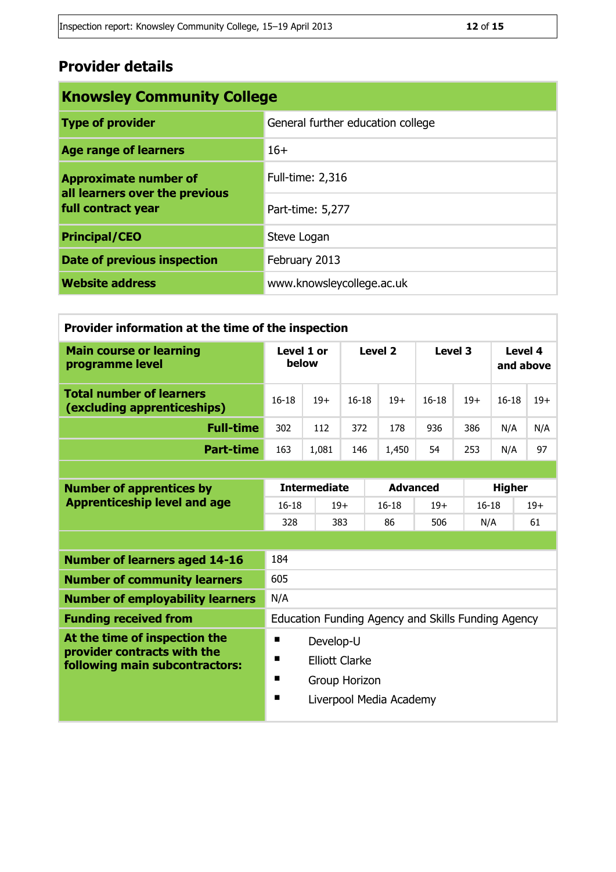# **Provider details**

| <b>Knowsley Community College</b>                                                    |                                   |  |  |
|--------------------------------------------------------------------------------------|-----------------------------------|--|--|
| <b>Type of provider</b>                                                              | General further education college |  |  |
| <b>Age range of learners</b>                                                         | $16+$                             |  |  |
| <b>Approximate number of</b><br>all learners over the previous<br>full contract year | <b>Full-time: 2,316</b>           |  |  |
|                                                                                      | Part-time: 5,277                  |  |  |
| <b>Principal/CEO</b>                                                                 | Steve Logan                       |  |  |
| Date of previous inspection                                                          | February 2013                     |  |  |
| <b>Website address</b>                                                               | www.knowsleycollege.ac.uk         |  |  |

| Provider information at the time of the inspection             |                     |       |           |       |           |       |                      |       |
|----------------------------------------------------------------|---------------------|-------|-----------|-------|-----------|-------|----------------------|-------|
| <b>Main course or learning</b><br>programme level              | Level 1 or<br>below |       | Level 2   |       | Level 3   |       | Level 4<br>and above |       |
| <b>Total number of learners</b><br>(excluding apprenticeships) | $16 - 18$           | $19+$ | $16 - 18$ | $19+$ | $16 - 18$ | $19+$ | $16 - 18$            | $19+$ |
| <b>Full-time</b>                                               | 302                 | 112   | 372       | 178   | 936       | 386   | N/A                  | N/A   |
| <b>Part-time</b>                                               | 163                 | 1,081 | 146       | 1,450 | 54        | 253   | N/A                  | 97    |

| <b>Number of apprentices by</b>                               | <b>Intermediate</b>                                |       | <b>Advanced</b> |       | <b>Higher</b> |       |  |
|---------------------------------------------------------------|----------------------------------------------------|-------|-----------------|-------|---------------|-------|--|
| <b>Apprenticeship level and age</b>                           | $16-18$                                            | $19+$ | $16-18$         | $19+$ | $16 - 18$     | $19+$ |  |
|                                                               | 328                                                | 383   | 86              | 506   | N/A           | 61    |  |
|                                                               |                                                    |       |                 |       |               |       |  |
| <b>Number of learners aged 14-16</b>                          | 184                                                |       |                 |       |               |       |  |
| <b>Number of community learners</b>                           | 605                                                |       |                 |       |               |       |  |
| <b>Number of employability learners</b>                       | N/A                                                |       |                 |       |               |       |  |
| <b>Funding received from</b>                                  | Education Funding Agency and Skills Funding Agency |       |                 |       |               |       |  |
| At the time of inspection the                                 | п<br>Develop-U                                     |       |                 |       |               |       |  |
| provider contracts with the<br>following main subcontractors: | п<br>Elliott Clarke                                |       |                 |       |               |       |  |
|                                                               | п<br>Group Horizon                                 |       |                 |       |               |       |  |
|                                                               | п<br>Liverpool Media Academy                       |       |                 |       |               |       |  |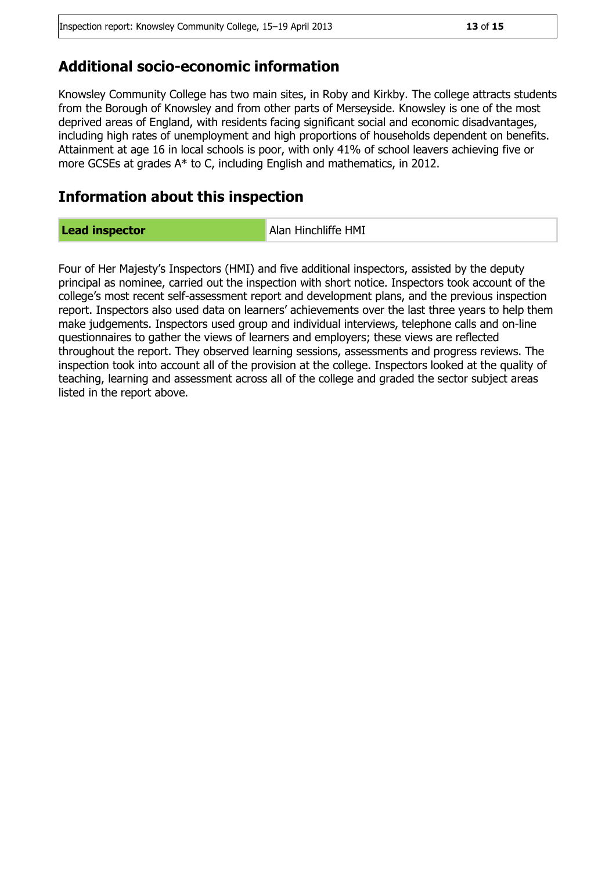### **Additional socio-economic information**

Knowsley Community College has two main sites, in Roby and Kirkby. The college attracts students from the Borough of Knowsley and from other parts of Merseyside. Knowsley is one of the most deprived areas of England, with residents facing significant social and economic disadvantages, including high rates of unemployment and high proportions of households dependent on benefits. Attainment at age 16 in local schools is poor, with only 41% of school leavers achieving five or more GCSEs at grades A\* to C, including English and mathematics, in 2012.

### **Information about this inspection**

**Lead inspector Alan Hinchliffe HMI** 

Four of Her Majesty's Inspectors (HMI) and five additional inspectors, assisted by the deputy principal as nominee, carried out the inspection with short notice. Inspectors took account of the college's most recent self-assessment report and development plans, and the previous inspection report. Inspectors also used data on learners' achievements over the last three years to help them make judgements. Inspectors used group and individual interviews, telephone calls and on-line questionnaires to gather the views of learners and employers; these views are reflected throughout the report. They observed learning sessions, assessments and progress reviews. The inspection took into account all of the provision at the college. Inspectors looked at the quality of teaching, learning and assessment across all of the college and graded the sector subject areas listed in the report above.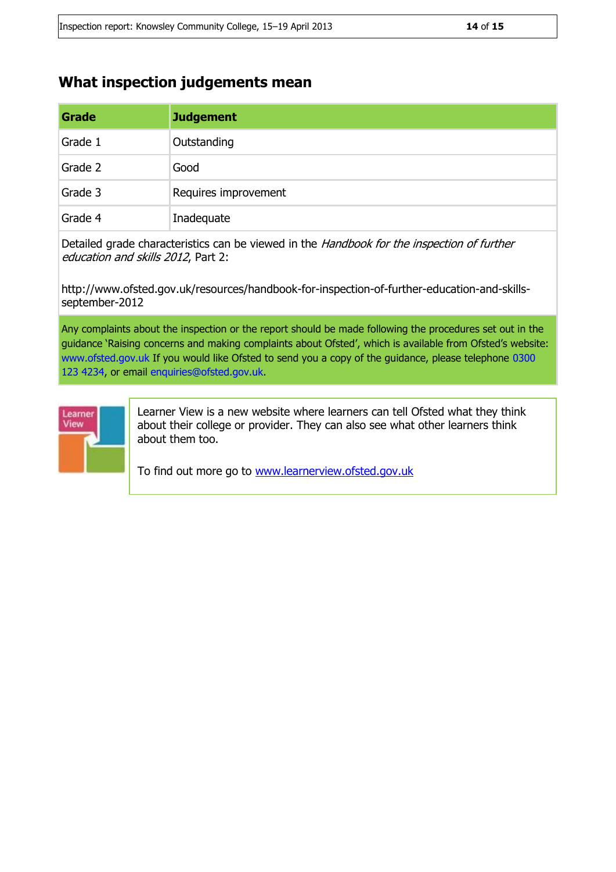# **What inspection judgements mean**

| Grade   | <b>Judgement</b>     |
|---------|----------------------|
| Grade 1 | Outstanding          |
| Grade 2 | Good                 |
| Grade 3 | Requires improvement |
| Grade 4 | Inadequate           |

Detailed grade characteristics can be viewed in the Handbook for the inspection of further education and skills 2012, Part 2:

http://www.ofsted.gov.uk/resources/handbook-for-inspection-of-further-education-and-skillsseptember-2012

Any complaints about the inspection or the report should be made following the procedures set out in the guidance 'Raising concerns and making complaints about Ofsted', which is available from Ofsted's website: www.ofsted.gov.uk If you would like Ofsted to send you a copy of the guidance, please telephone 0300 123 4234, or email enquiries@ofsted.gov.uk.



Learner View is a new website where learners can tell Ofsted what they think about their college or provider. They can also see what other learners think about them too.

To find out more go to [www.learnerview.ofsted.gov.uk](http://www.learnerview.ofsted.gov.uk/)